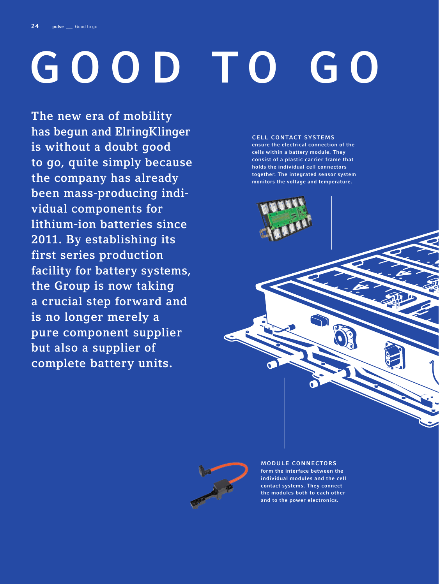# GOOD TO GO

The new era of mobility has begun and ElringKlinger is without a doubt good to go, quite simply because the company has already been mass-producing individual components for lithium-ion batteries since 2011. By establishing its first series production facility for battery systems, the Group is now taking a crucial step forward and is no longer merely a pure component supplier but also a supplier of complete battery units.

## CELL CONTACT SYSTEMS

ensure the electrical connection of the cells within a battery module. They consist of a plastic carrier frame that holds the individual cell connectors together. The integrated sensor system monitors the voltage and temperature.

MODULE CONNECTORS form the interface between the individual modules and the cell contact systems. They connect the modules both to each other and to the power electronics.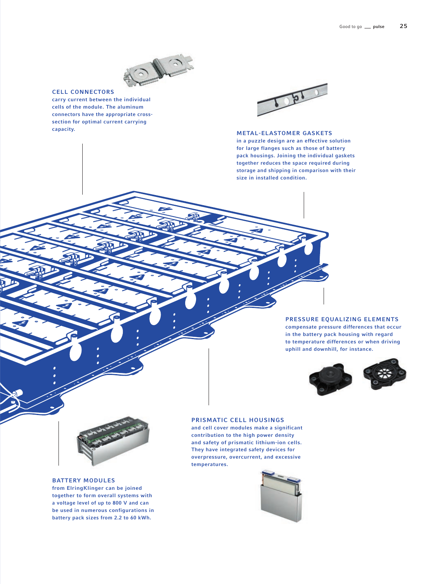

## CELL CONNECTORS

carry current between the individual cells of the module. The aluminum connectors have the appropriate crosssection for optimal current carrying capacity.



# METAL-ELASTOMER GASKETS

in a puzzle design are an effective solution for large flanges such as those of battery pack housings. Joining the individual gaskets together reduces the space required during storage and shipping in comparison with their size in installed condition.

# PRESSURE EQUALIZING ELEMENTS compensate pressure differences that occur in the battery pack housing with regard to temperature differences or when driving uphill and downhill, for instance.





# BATTERY MODULES

from ElringKlinger can be joined together to form overall systems with a voltage level of up to 800 V and can be used in numerous configurations in battery pack sizes from 2.2 to 60 kWh.

# PRISMATIC CELL HOUSINGS

and cell cover modules make a significant contribution to the high power density and safety of prismatic lithium-ion cells. They have integrated safety devices for overpressure, overcurrent, and excessive temperatures.

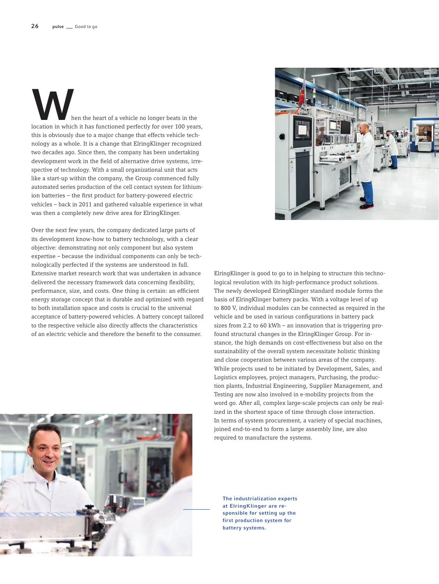Moreon the heart of a vehicle no longer beats in the location in which it has functioned perfectly for over 100 years, this is obviously due to a major change that effects vehicle technology as a whole. It is a change that ElringKlinger recognized two decades ago. Since then, the company has been undertaking development work in the field of alternative drive systems, irrespective of technology. With a small organizational unit that acts like a start-up within the company, the Group commenced fully automated series production of the cell contact system for lithiumion batteries – the first product for battery-powered electric vehicles – back in 2011 and gathered valuable experience in what was then a completely new drive area for ElringKlinger.

Over the next few years, the company dedicated large parts of its development know-how to battery technology, with a clear objective: demonstrating not only component but also system expertise – because the individual components can only be technologically perfected if the systems are understood in full. Extensive market research work that was undertaken in advance delivered the necessary framework data concerning flexibility, performance, size, and costs. One thing is certain: an efficient energy storage concept that is durable and optimized with regard to both installation space and costs is crucial to the universal acceptance of battery-powered vehicles. A battery concept tailored to the respective vehicle also directly affects the characteristics of an electric vehicle and therefore the benefit to the consumer.





ElringKlinger is good to go to in helping to structure this technological revolution with its high-performance product solutions. The newly developed ElringKlinger standard module forms the basis of ElringKlinger battery packs. With a voltage level of up to 800 V, individual modules can be connected as required in the vehicle and be used in various configurations in battery pack sizes from 2.2 to 60 kWh – an innovation that is triggering profound structural changes in the ElringKlinger Group. For instance, the high demands on cost-effectiveness but also on the sustainability of the overall system necessitate holistic thinking and close cooperation between various areas of the company. While projects used to be initiated by Development, Sales, and Logistics employees, project managers, Purchasing, the production plants, Industrial Engineering, Supplier Management, and Testing are now also involved in e-mobility projects from the word go. After all, complex large-scale projects can only be realized in the shortest space of time through close interaction. In terms of system procurement, a variety of special machines, joined end-to-end to form a large assembly line, are also required to manufacture the systems.

The industrialization experts at ElringKlinger are responsible for setting up the first production system for battery systems.